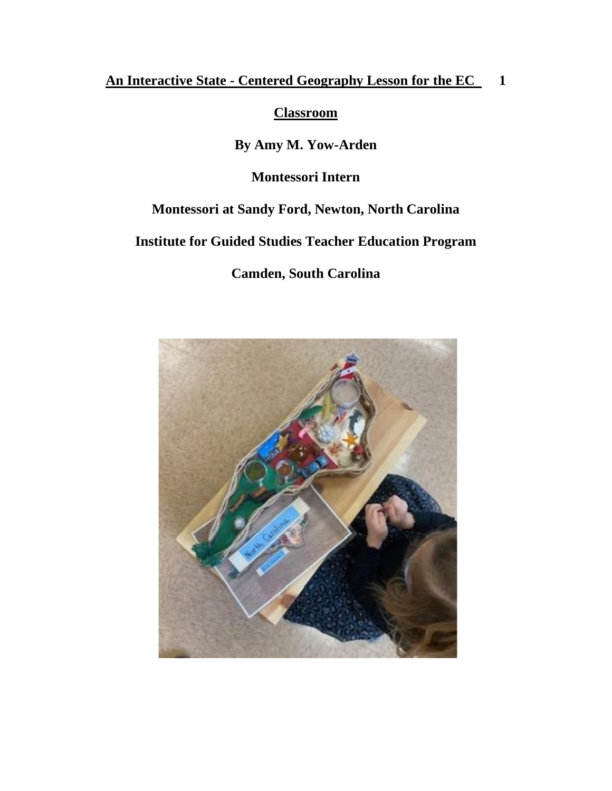## **An Interactive State - Centered Geography Lesson for the EC 1**

**Classroom**

**By Amy M. Yow-Arden**

**Montessori Intern** 

## **Montessori at Sandy Ford, Newton, North Carolina**

**Institute for Guided Studies Teacher Education Program**

**Camden, South Carolina**

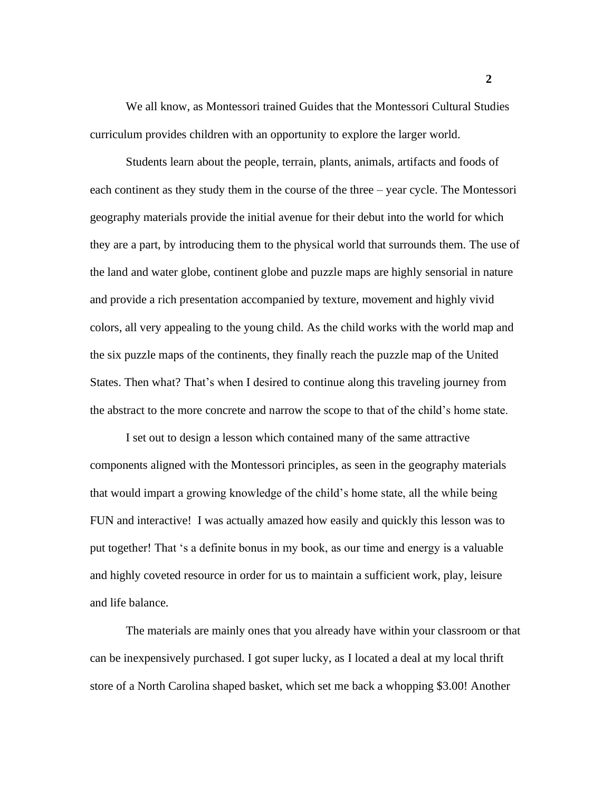We all know, as Montessori trained Guides that the Montessori Cultural Studies curriculum provides children with an opportunity to explore the larger world.

Students learn about the people, terrain, plants, animals, artifacts and foods of each continent as they study them in the course of the three – year cycle. The Montessori geography materials provide the initial avenue for their debut into the world for which they are a part, by introducing them to the physical world that surrounds them. The use of the land and water globe, continent globe and puzzle maps are highly sensorial in nature and provide a rich presentation accompanied by texture, movement and highly vivid colors, all very appealing to the young child. As the child works with the world map and the six puzzle maps of the continents, they finally reach the puzzle map of the United States. Then what? That's when I desired to continue along this traveling journey from the abstract to the more concrete and narrow the scope to that of the child's home state.

I set out to design a lesson which contained many of the same attractive components aligned with the Montessori principles, as seen in the geography materials that would impart a growing knowledge of the child's home state, all the while being FUN and interactive! I was actually amazed how easily and quickly this lesson was to put together! That 's a definite bonus in my book, as our time and energy is a valuable and highly coveted resource in order for us to maintain a sufficient work, play, leisure and life balance.

The materials are mainly ones that you already have within your classroom or that can be inexpensively purchased. I got super lucky, as I located a deal at my local thrift store of a North Carolina shaped basket, which set me back a whopping \$3.00! Another

**2**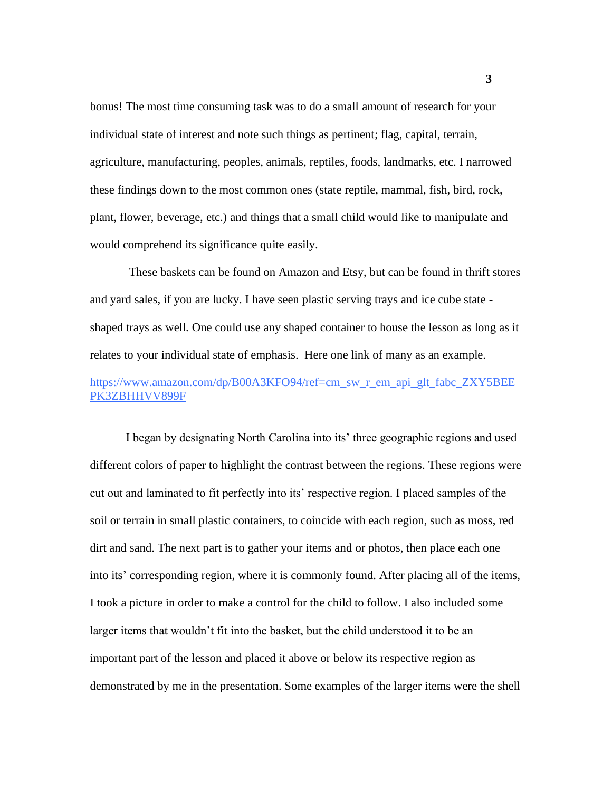bonus! The most time consuming task was to do a small amount of research for your individual state of interest and note such things as pertinent; flag, capital, terrain, agriculture, manufacturing, peoples, animals, reptiles, foods, landmarks, etc. I narrowed these findings down to the most common ones (state reptile, mammal, fish, bird, rock, plant, flower, beverage, etc.) and things that a small child would like to manipulate and would comprehend its significance quite easily.

These baskets can be found on Amazon and Etsy, but can be found in thrift stores and yard sales, if you are lucky. I have seen plastic serving trays and ice cube state shaped trays as well. One could use any shaped container to house the lesson as long as it relates to your individual state of emphasis. Here one link of many as an example.

## https://www.amazon.com/dp/B00A3KFO94/ref=cm\_sw\_r\_em\_api\_glt\_fabc\_ZXY5BEE PK3ZBHHVV899F

I began by designating North Carolina into its' three geographic regions and used different colors of paper to highlight the contrast between the regions. These regions were cut out and laminated to fit perfectly into its' respective region. I placed samples of the soil or terrain in small plastic containers, to coincide with each region, such as moss, red dirt and sand. The next part is to gather your items and or photos, then place each one into its' corresponding region, where it is commonly found. After placing all of the items, I took a picture in order to make a control for the child to follow. I also included some larger items that wouldn't fit into the basket, but the child understood it to be an important part of the lesson and placed it above or below its respective region as demonstrated by me in the presentation. Some examples of the larger items were the shell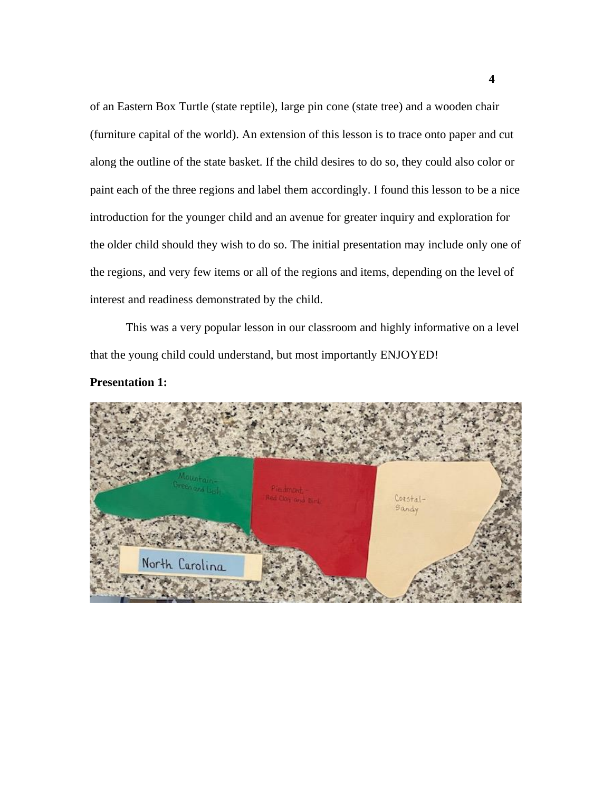of an Eastern Box Turtle (state reptile), large pin cone (state tree) and a wooden chair (furniture capital of the world). An extension of this lesson is to trace onto paper and cut along the outline of the state basket. If the child desires to do so, they could also color or paint each of the three regions and label them accordingly. I found this lesson to be a nice introduction for the younger child and an avenue for greater inquiry and exploration for the older child should they wish to do so. The initial presentation may include only one of the regions, and very few items or all of the regions and items, depending on the level of interest and readiness demonstrated by the child.

This was a very popular lesson in our classroom and highly informative on a level that the young child could understand, but most importantly ENJOYED!



**Presentation 1:**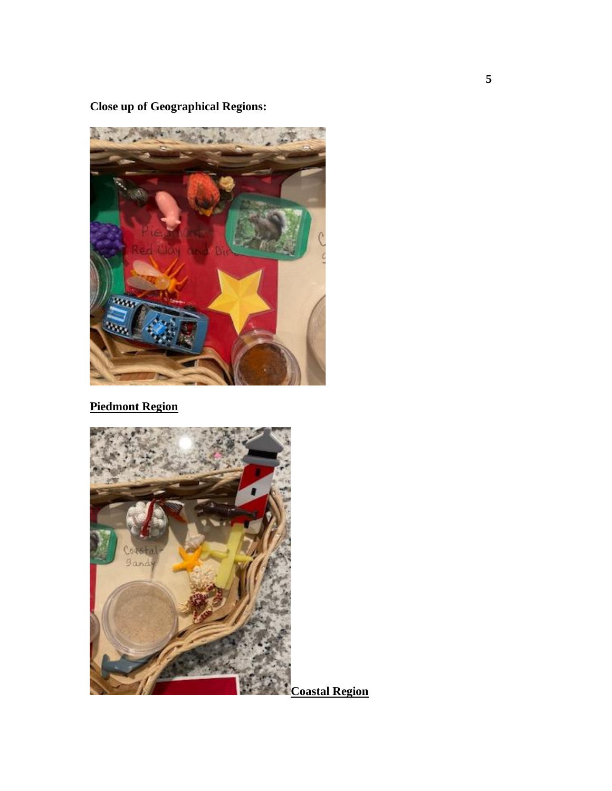**Close up of Geographical Regions:**



**Piedmont Region**



**Coastal Region**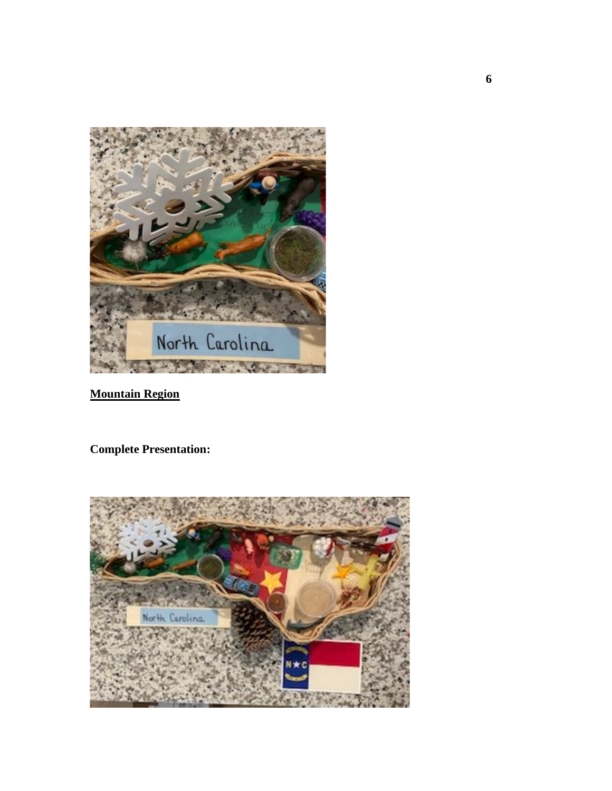

**Mountain Region** 

**Complete Presentation:**